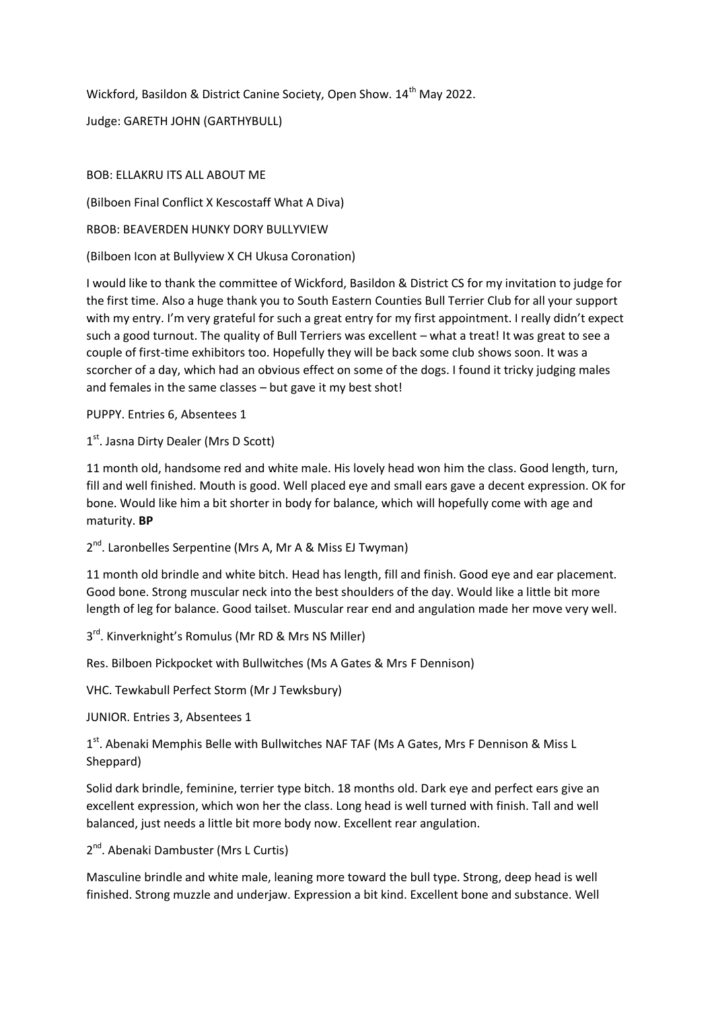Wickford, Basildon & District Canine Society, Open Show. 14<sup>th</sup> May 2022.

Judge: GARETH JOHN (GARTHYBULL)

## BOB: ELLAKRU ITS ALL ABOUT ME

(Bilboen Final Conflict X Kescostaff What A Diva)

RBOB: BEAVERDEN HUNKY DORY BULLYVIEW

(Bilboen Icon at Bullyview X CH Ukusa Coronation)

I would like to thank the committee of Wickford, Basildon & District CS for my invitation to judge for the first time. Also a huge thank you to South Eastern Counties Bull Terrier Club for all your support with my entry. I'm very grateful for such a great entry for my first appointment. I really didn't expect such a good turnout. The quality of Bull Terriers was excellent – what a treat! It was great to see a couple of first-time exhibitors too. Hopefully they will be back some club shows soon. It was a scorcher of a day, which had an obvious effect on some of the dogs. I found it tricky judging males and females in the same classes – but gave it my best shot!

PUPPY. Entries 6, Absentees 1

1<sup>st</sup>. Jasna Dirty Dealer (Mrs D Scott)

11 month old, handsome red and white male. His lovely head won him the class. Good length, turn, fill and well finished. Mouth is good. Well placed eye and small ears gave a decent expression. OK for bone. Would like him a bit shorter in body for balance, which will hopefully come with age and maturity. **BP**

2<sup>nd</sup>. Laronbelles Serpentine (Mrs A, Mr A & Miss EJ Twyman)

11 month old brindle and white bitch. Head has length, fill and finish. Good eye and ear placement. Good bone. Strong muscular neck into the best shoulders of the day. Would like a little bit more length of leg for balance. Good tailset. Muscular rear end and angulation made her move very well.

3<sup>rd</sup>. Kinverknight's Romulus (Mr RD & Mrs NS Miller)

Res. Bilboen Pickpocket with Bullwitches (Ms A Gates & Mrs F Dennison)

VHC. Tewkabull Perfect Storm (Mr J Tewksbury)

JUNIOR. Entries 3, Absentees 1

1<sup>st</sup>. Abenaki Memphis Belle with Bullwitches NAF TAF (Ms A Gates, Mrs F Dennison & Miss L Sheppard)

Solid dark brindle, feminine, terrier type bitch. 18 months old. Dark eye and perfect ears give an excellent expression, which won her the class. Long head is well turned with finish. Tall and well balanced, just needs a little bit more body now. Excellent rear angulation.

## 2<sup>nd</sup>. Abenaki Dambuster (Mrs L Curtis)

Masculine brindle and white male, leaning more toward the bull type. Strong, deep head is well finished. Strong muzzle and underjaw. Expression a bit kind. Excellent bone and substance. Well